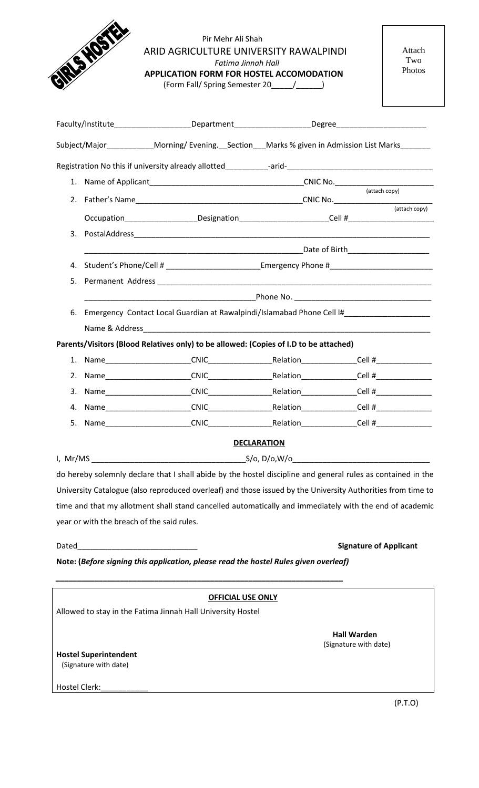|    | RISHO'S                                                                                             | Pir Mehr Ali Shah<br>ARID AGRICULTURE UNIVERSITY RAWALPINDI<br>Fatima Jinnah Hall<br><b>APPLICATION FORM FOR HOSTEL ACCOMODATION</b> |                    |                               | Attach<br>Two<br>Photos |
|----|-----------------------------------------------------------------------------------------------------|--------------------------------------------------------------------------------------------------------------------------------------|--------------------|-------------------------------|-------------------------|
|    |                                                                                                     |                                                                                                                                      |                    |                               |                         |
|    |                                                                                                     | Subject/Major_____________Morning/Evening.__Section___Marks % given in Admission List Marks_______                                   |                    |                               |                         |
|    |                                                                                                     |                                                                                                                                      |                    |                               |                         |
|    |                                                                                                     |                                                                                                                                      |                    |                               |                         |
|    |                                                                                                     |                                                                                                                                      |                    |                               |                         |
|    |                                                                                                     | Occupation_____________________Designation_________________________Cell #__________________________                                  |                    |                               | (attach copy)           |
|    |                                                                                                     |                                                                                                                                      |                    |                               |                         |
|    |                                                                                                     |                                                                                                                                      |                    |                               |                         |
|    | 4. Student's Phone/Cell # _________________________Emergency Phone # ______________________________ |                                                                                                                                      |                    |                               |                         |
|    |                                                                                                     |                                                                                                                                      |                    |                               |                         |
|    |                                                                                                     |                                                                                                                                      |                    |                               |                         |
|    | 6. Emergency Contact Local Guardian at Rawalpindi/Islamabad Phone Cell I#__________________________ |                                                                                                                                      |                    |                               |                         |
|    |                                                                                                     |                                                                                                                                      |                    |                               |                         |
|    |                                                                                                     | Parents/Visitors (Blood Relatives only) to be allowed: (Copies of I.D to be attached)                                                |                    |                               |                         |
|    |                                                                                                     |                                                                                                                                      |                    |                               |                         |
| 2. |                                                                                                     |                                                                                                                                      |                    |                               |                         |
| 3. |                                                                                                     |                                                                                                                                      |                    |                               |                         |
| 4. |                                                                                                     |                                                                                                                                      |                    |                               |                         |
| 5. |                                                                                                     |                                                                                                                                      |                    |                               |                         |
|    |                                                                                                     |                                                                                                                                      | <b>DECLARATION</b> |                               |                         |
|    |                                                                                                     |                                                                                                                                      |                    |                               |                         |
|    |                                                                                                     | do hereby solemnly declare that I shall abide by the hostel discipline and general rules as contained in the                         |                    |                               |                         |
|    |                                                                                                     | University Catalogue (also reproduced overleaf) and those issued by the University Authorities from time to                          |                    |                               |                         |
|    |                                                                                                     | time and that my allotment shall stand cancelled automatically and immediately with the end of academic                              |                    |                               |                         |
|    |                                                                                                     |                                                                                                                                      |                    |                               |                         |
|    | year or with the breach of the said rules.                                                          |                                                                                                                                      |                    |                               |                         |
|    |                                                                                                     |                                                                                                                                      |                    |                               |                         |
|    |                                                                                                     |                                                                                                                                      |                    | <b>Signature of Applicant</b> |                         |
|    |                                                                                                     | Note: (Before signing this application, please read the hostel Rules given overleaf)                                                 |                    |                               |                         |
|    |                                                                                                     |                                                                                                                                      |                    |                               |                         |
|    |                                                                                                     | <b>OFFICIAL USE ONLY</b><br>Allowed to stay in the Fatima Jinnah Hall University Hostel                                              |                    |                               |                         |

(Signature with date)

Hostel Clerk:\_\_\_\_\_\_\_\_\_\_\_

(P.T.O)